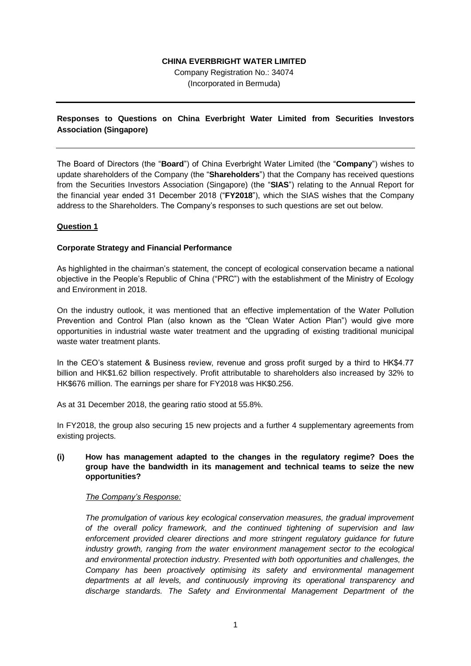# **CHINA EVERBRIGHT WATER LIMITED**

Company Registration No.: 34074 (Incorporated in Bermuda)

# **Responses to Questions on China Everbright Water Limited from Securities Investors Association (Singapore)**

The Board of Directors (the "**Board**") of China Everbright Water Limited (the "**Company**") wishes to update shareholders of the Company (the "**Shareholders**") that the Company has received questions from the Securities Investors Association (Singapore) (the "**SIAS**") relating to the Annual Report for the financial year ended 31 December 2018 ("**FY2018**"), which the SIAS wishes that the Company address to the Shareholders. The Company's responses to such questions are set out below.

# **Question 1**

# **Corporate Strategy and Financial Performance**

As highlighted in the chairman's statement, the concept of ecological conservation became a national objective in the People's Republic of China ("PRC") with the establishment of the Ministry of Ecology and Environment in 2018.

On the industry outlook, it was mentioned that an effective implementation of the Water Pollution Prevention and Control Plan (also known as the "Clean Water Action Plan") would give more opportunities in industrial waste water treatment and the upgrading of existing traditional municipal waste water treatment plants.

In the CEO's statement & Business review, revenue and gross profit surged by a third to HK\$4.77 billion and HK\$1.62 billion respectively. Profit attributable to shareholders also increased by 32% to HK\$676 million. The earnings per share for FY2018 was HK\$0.256.

As at 31 December 2018, the gearing ratio stood at 55.8%.

In FY2018, the group also securing 15 new projects and a further 4 supplementary agreements from existing projects.

## **(i) How has management adapted to the changes in the regulatory regime? Does the group have the bandwidth in its management and technical teams to seize the new opportunities?**

## *The Company's Response:*

*The promulgation of various key ecological conservation measures, the gradual improvement of the overall policy framework, and the continued tightening of supervision and law enforcement provided clearer directions and more stringent regulatory guidance for future industry growth, ranging from the water environment management sector to the ecological and environmental protection industry. Presented with both opportunities and challenges, the Company has been proactively optimising its safety and environmental management departments at all levels, and continuously improving its operational transparency and discharge standards. The Safety and Environmental Management Department of the*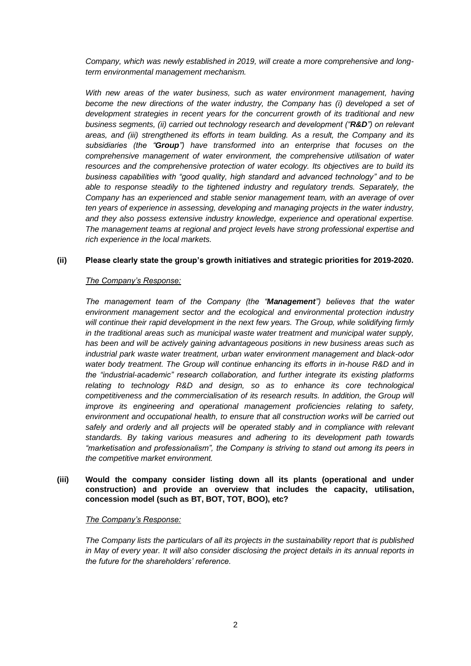*Company, which was newly established in 2019, will create a more comprehensive and longterm environmental management mechanism.*

*With new areas of the water business, such as water environment management, having become the new directions of the water industry, the Company has (i) developed a set of development strategies in recent years for the concurrent growth of its traditional and new business segments, (ii) carried out technology research and development ("R&D") on relevant areas, and (iii) strengthened its efforts in team building. As a result, the Company and its subsidiaries (the "Group") have transformed into an enterprise that focuses on the comprehensive management of water environment, the comprehensive utilisation of water resources and the comprehensive protection of water ecology. Its objectives are to build its business capabilities with "good quality, high standard and advanced technology" and to be able to response steadily to the tightened industry and regulatory trends. Separately, the Company has an experienced and stable senior management team, with an average of over ten years of experience in assessing, developing and managing projects in the water industry, and they also possess extensive industry knowledge, experience and operational expertise. The management teams at regional and project levels have strong professional expertise and rich experience in the local markets.*

# **(ii) Please clearly state the group's growth initiatives and strategic priorities for 2019-2020.**

## *The Company's Response:*

*The management team of the Company (the "Management") believes that the water environment management sector and the ecological and environmental protection industry*  will continue their rapid development in the next few years. The Group, while solidifying firmly *in the traditional areas such as municipal waste water treatment and municipal water supply, has been and will be actively gaining advantageous positions in new business areas such as industrial park waste water treatment, urban water environment management and black-odor water body treatment. The Group will continue enhancing its efforts in in-house R&D and in the "industrial-academic" research collaboration, and further integrate its existing platforms relating to technology R&D and design, so as to enhance its core technological competitiveness and the commercialisation of its research results. In addition, the Group will improve its engineering and operational management proficiencies relating to safety, environment and occupational health, to ensure that all construction works will be carried out*  safely and orderly and all projects will be operated stably and in compliance with relevant *standards. By taking various measures and adhering to its development path towards "marketisation and professionalism", the Company is striving to stand out among its peers in the competitive market environment.*

## **(iii) Would the company consider listing down all its plants (operational and under construction) and provide an overview that includes the capacity, utilisation, concession model (such as BT, BOT, TOT, BOO), etc?**

#### *The Company's Response:*

*The Company lists the particulars of all its projects in the sustainability report that is published in May of every year. It will also consider disclosing the project details in its annual reports in the future for the shareholders' reference.*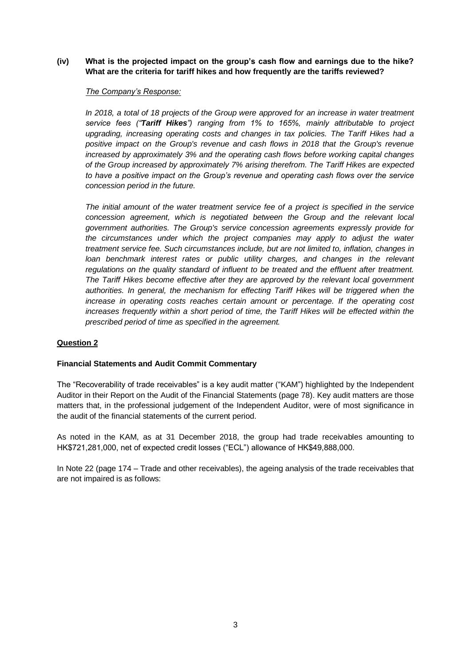## **(iv) What is the projected impact on the group's cash flow and earnings due to the hike? What are the criteria for tariff hikes and how frequently are the tariffs reviewed?**

#### *The Company's Response:*

*In 2018, a total of 18 projects of the Group were approved for an increase in water treatment service fees ("Tariff Hikes") ranging from 1% to 165%, mainly attributable to project upgrading, increasing operating costs and changes in tax policies. The Tariff Hikes had a positive impact on the Group's revenue and cash flows in 2018 that the Group's revenue increased by approximately 3% and the operating cash flows before working capital changes of the Group increased by approximately 7% arising therefrom. The Tariff Hikes are expected to have a positive impact on the Group's revenue and operating cash flows over the service concession period in the future.* 

*The initial amount of the water treatment service fee of a project is specified in the service concession agreement, which is negotiated between the Group and the relevant local government authorities. The Group's service concession agreements expressly provide for the circumstances under which the project companies may apply to adjust the water treatment service fee. Such circumstances include, but are not limited to, inflation, changes in loan benchmark interest rates or public utility charges, and changes in the relevant regulations on the quality standard of influent to be treated and the effluent after treatment. The Tariff Hikes become effective after they are approved by the relevant local government authorities. In general, the mechanism for effecting Tariff Hikes will be triggered when the increase in operating costs reaches certain amount or percentage. If the operating cost increases frequently within a short period of time, the Tariff Hikes will be effected within the prescribed period of time as specified in the agreement.*

# **Question 2**

## **Financial Statements and Audit Commit Commentary**

The "Recoverability of trade receivables" is a key audit matter ("KAM") highlighted by the Independent Auditor in their Report on the Audit of the Financial Statements (page 78). Key audit matters are those matters that, in the professional judgement of the Independent Auditor, were of most significance in the audit of the financial statements of the current period.

As noted in the KAM, as at 31 December 2018, the group had trade receivables amounting to HK\$721,281,000, net of expected credit losses ("ECL") allowance of HK\$49,888,000.

In Note 22 (page 174 – Trade and other receivables), the ageing analysis of the trade receivables that are not impaired is as follows: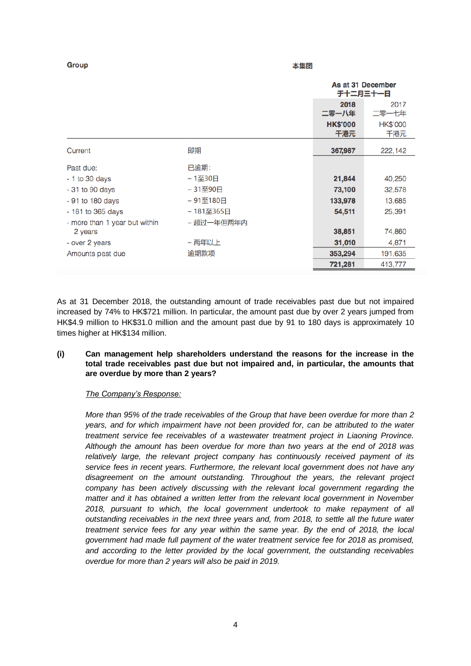| Group                         | 本集团        |  |                               |                        |
|-------------------------------|------------|--|-------------------------------|------------------------|
|                               |            |  | As at 31 December<br>于十二月三十一日 |                        |
|                               |            |  | 2018<br>二零一八年                 | 2017<br>二零一七年          |
|                               |            |  | <b>HK\$'000</b><br>千港元        | <b>HK\$'000</b><br>干港元 |
| Current                       | 即期         |  | 367,987                       | 222,142                |
| Past due:                     | 已逾期:       |  |                               |                        |
| $-1$ to 30 days               | - 1至30日    |  | 21,844                        | 40,250                 |
| $-31$ to 90 days              | - 31至90日   |  | 73,100                        | 32,578                 |
| - 91 to 180 days              | -91至180日   |  | 133,978                       | 13,685                 |
| - 181 to 365 days             | - 181至365日 |  | 54,511                        | 25,391                 |
| - more than 1 year but within | - 超过一年但两年内 |  |                               |                        |
| 2 years                       |            |  | 38,851                        | 74,860                 |
| - over 2 years                | - 两年以上     |  | 31,010                        | 4,871                  |
| Amounts past due              | 逾期款项       |  | 353,294                       | 191,635                |
|                               |            |  | 721,281                       | 413,777                |

وسرعته للمراجع

As at 31 December 2018, the outstanding amount of trade receivables past due but not impaired increased by 74% to HK\$721 million. In particular, the amount past due by over 2 years jumped from HK\$4.9 million to HK\$31.0 million and the amount past due by 91 to 180 days is approximately 10 times higher at HK\$134 million.

## **(i) Can management help shareholders understand the reasons for the increase in the total trade receivables past due but not impaired and, in particular, the amounts that are overdue by more than 2 years?**

## *The Company's Response:*

 $\sim$   $\sim$   $\sim$ 

*More than 95% of the trade receivables of the Group that have been overdue for more than 2 years, and for which impairment have not been provided for, can be attributed to the water treatment service fee receivables of a wastewater treatment project in Liaoning Province. Although the amount has been overdue for more than two years at the end of 2018 was relatively large, the relevant project company has continuously received payment of its service fees in recent years. Furthermore, the relevant local government does not have any disagreement on the amount outstanding. Throughout the years, the relevant project company has been actively discussing with the relevant local government regarding the matter and it has obtained a written letter from the relevant local government in November 2018, pursuant to which, the local government undertook to make repayment of all outstanding receivables in the next three years and, from 2018, to settle all the future water treatment service fees for any year within the same year. By the end of 2018, the local government had made full payment of the water treatment service fee for 2018 as promised, and according to the letter provided by the local government, the outstanding receivables overdue for more than 2 years will also be paid in 2019.*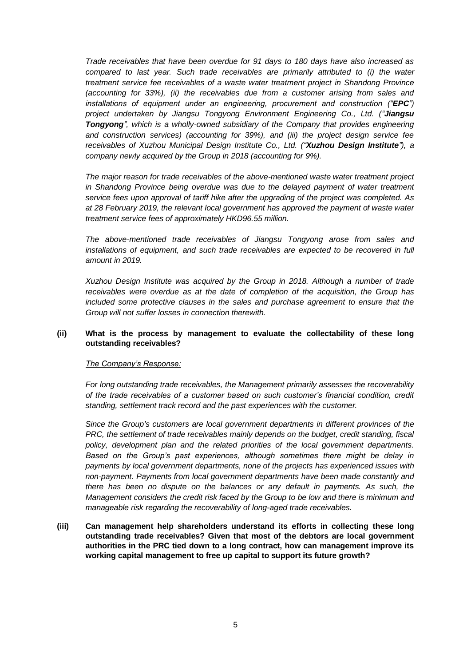*Trade receivables that have been overdue for 91 days to 180 days have also increased as compared to last year. Such trade receivables are primarily attributed to (i) the water treatment service fee receivables of a waste water treatment project in Shandong Province (accounting for 33%), (ii) the receivables due from a customer arising from sales and installations of equipment under an engineering, procurement and construction ("EPC") project undertaken by Jiangsu Tongyong Environment Engineering Co., Ltd. ("Jiangsu Tongyong", which is a wholly-owned subsidiary of the Company that provides engineering and construction services) (accounting for 39%), and (iii) the project design service fee receivables of Xuzhou Municipal Design Institute Co., Ltd. ("Xuzhou Design Institute"), a company newly acquired by the Group in 2018 (accounting for 9%).*

*The major reason for trade receivables of the above-mentioned waste water treatment project in Shandong Province being overdue was due to the delayed payment of water treatment service fees upon approval of tariff hike after the upgrading of the project was completed. As at 28 February 2019, the relevant local government has approved the payment of waste water treatment service fees of approximately HKD96.55 million.*

*The above-mentioned trade receivables of Jiangsu Tongyong arose from sales and*  installations of equipment, and such trade receivables are expected to be recovered in full *amount in 2019.*

*Xuzhou Design Institute was acquired by the Group in 2018. Although a number of trade receivables were overdue as at the date of completion of the acquisition, the Group has included some protective clauses in the sales and purchase agreement to ensure that the Group will not suffer losses in connection therewith.*

## **(ii) What is the process by management to evaluate the collectability of these long outstanding receivables?**

#### *The Company's Response:*

*For long outstanding trade receivables, the Management primarily assesses the recoverability of the trade receivables of a customer based on such customer's financial condition, credit standing, settlement track record and the past experiences with the customer.*

*Since the Group's customers are local government departments in different provinces of the PRC, the settlement of trade receivables mainly depends on the budget, credit standing, fiscal policy, development plan and the related priorities of the local government departments. Based on the Group's past experiences, although sometimes there might be delay in payments by local government departments, none of the projects has experienced issues with non-payment. Payments from local government departments have been made constantly and there has been no dispute on the balances or any default in payments. As such, the Management considers the credit risk faced by the Group to be low and there is minimum and manageable risk regarding the recoverability of long-aged trade receivables.*

**(iii) Can management help shareholders understand its efforts in collecting these long outstanding trade receivables? Given that most of the debtors are local government authorities in the PRC tied down to a long contract, how can management improve its working capital management to free up capital to support its future growth?**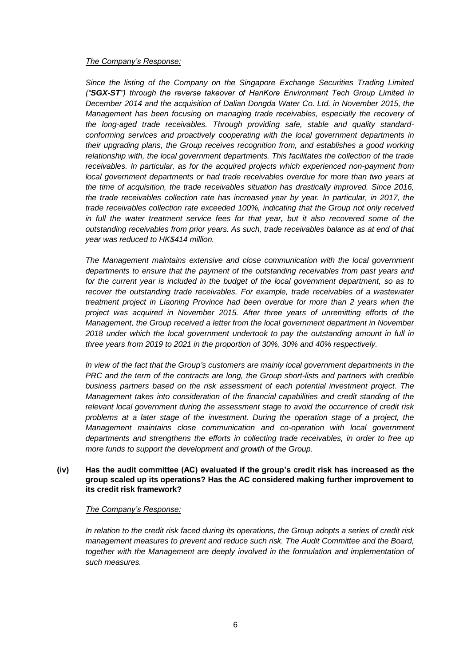#### *The Company's Response:*

*Since the listing of the Company on the Singapore Exchange Securities Trading Limited ("SGX-ST") through the reverse takeover of HanKore Environment Tech Group Limited in December 2014 and the acquisition of Dalian Dongda Water Co. Ltd. in November 2015, the Management has been focusing on managing trade receivables, especially the recovery of the long-aged trade receivables. Through providing safe, stable and quality standardconforming services and proactively cooperating with the local government departments in their upgrading plans, the Group receives recognition from, and establishes a good working relationship with, the local government departments. This facilitates the collection of the trade receivables. In particular, as for the acquired projects which experienced non-payment from local government departments or had trade receivables overdue for more than two years at the time of acquisition, the trade receivables situation has drastically improved. Since 2016, the trade receivables collection rate has increased year by year. In particular, in 2017, the trade receivables collection rate exceeded 100%, indicating that the Group not only received in full the water treatment service fees for that year, but it also recovered some of the outstanding receivables from prior years. As such, trade receivables balance as at end of that year was reduced to HK\$414 million.*

*The Management maintains extensive and close communication with the local government departments to ensure that the payment of the outstanding receivables from past years and for the current year is included in the budget of the local government department, so as to recover the outstanding trade receivables. For example, trade receivables of a wastewater treatment project in Liaoning Province had been overdue for more than 2 years when the project was acquired in November 2015. After three years of unremitting efforts of the Management, the Group received a letter from the local government department in November 2018 under which the local government undertook to pay the outstanding amount in full in three years from 2019 to 2021 in the proportion of 30%, 30% and 40% respectively.*

*In view of the fact that the Group's customers are mainly local government departments in the PRC and the term of the contracts are long, the Group short-lists and partners with credible business partners based on the risk assessment of each potential investment project. The Management takes into consideration of the financial capabilities and credit standing of the relevant local government during the assessment stage to avoid the occurrence of credit risk problems at a later stage of the investment. During the operation stage of a project, the Management maintains close communication and co-operation with local government departments and strengthens the efforts in collecting trade receivables, in order to free up more funds to support the development and growth of the Group.*

#### **(iv) Has the audit committee (AC) evaluated if the group's credit risk has increased as the group scaled up its operations? Has the AC considered making further improvement to its credit risk framework?**

#### *The Company's Response:*

*In relation to the credit risk faced during its operations, the Group adopts a series of credit risk management measures to prevent and reduce such risk. The Audit Committee and the Board, together with the Management are deeply involved in the formulation and implementation of such measures.*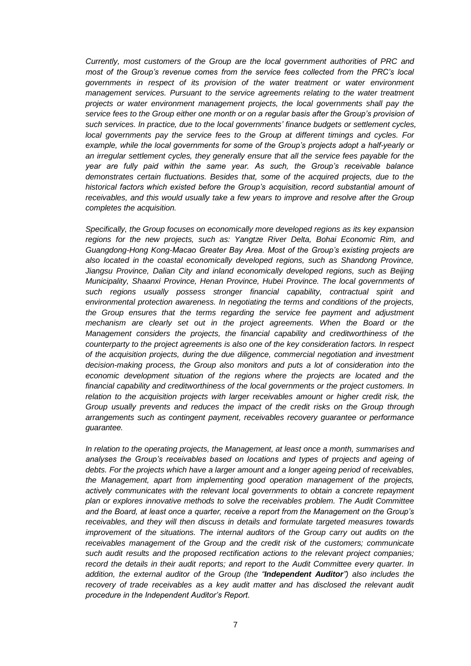*Currently, most customers of the Group are the local government authorities of PRC and most of the Group's revenue comes from the service fees collected from the PRC's local governments in respect of its provision of the water treatment or water environment management services. Pursuant to the service agreements relating to the water treatment projects or water environment management projects, the local governments shall pay the service fees to the Group either one month or on a regular basis after the Group's provision of such services. In practice, due to the local governments' finance budgets or settlement cycles, local governments pay the service fees to the Group at different timings and cycles. For example, while the local governments for some of the Group's projects adopt a half-yearly or an irregular settlement cycles, they generally ensure that all the service fees payable for the year are fully paid within the same year. As such, the Group's receivable balance demonstrates certain fluctuations. Besides that, some of the acquired projects, due to the historical factors which existed before the Group's acquisition, record substantial amount of receivables, and this would usually take a few years to improve and resolve after the Group completes the acquisition.* 

*Specifically, the Group focuses on economically more developed regions as its key expansion regions for the new projects, such as: Yangtze River Delta, Bohai Economic Rim, and Guangdong-Hong Kong-Macao Greater Bay Area. Most of the Group's existing projects are also located in the coastal economically developed regions, such as Shandong Province, Jiangsu Province, Dalian City and inland economically developed regions, such as Beijing Municipality, Shaanxi Province, Henan Province, Hubei Province. The local governments of such regions usually possess stronger financial capability, contractual spirit and environmental protection awareness. In negotiating the terms and conditions of the projects, the Group ensures that the terms regarding the service fee payment and adjustment mechanism are clearly set out in the project agreements. When the Board or the Management considers the projects, the financial capability and creditworthiness of the counterparty to the project agreements is also one of the key consideration factors. In respect of the acquisition projects, during the due diligence, commercial negotiation and investment decision-making process, the Group also monitors and puts a lot of consideration into the economic development situation of the regions where the projects are located and the financial capability and creditworthiness of the local governments or the project customers. In relation to the acquisition projects with larger receivables amount or higher credit risk, the Group usually prevents and reduces the impact of the credit risks on the Group through arrangements such as contingent payment, receivables recovery guarantee or performance guarantee.*

*In relation to the operating projects, the Management, at least once a month, summarises and analyses the Group's receivables based on locations and types of projects and ageing of debts. For the projects which have a larger amount and a longer ageing period of receivables, the Management, apart from implementing good operation management of the projects, actively communicates with the relevant local governments to obtain a concrete repayment plan or explores innovative methods to solve the receivables problem. The Audit Committee and the Board, at least once a quarter, receive a report from the Management on the Group's receivables, and they will then discuss in details and formulate targeted measures towards improvement of the situations. The internal auditors of the Group carry out audits on the receivables management of the Group and the credit risk of the customers; communicate such audit results and the proposed rectification actions to the relevant project companies; record the details in their audit reports; and report to the Audit Committee every quarter. In addition, the external auditor of the Group (the "Independent Auditor") also includes the recovery of trade receivables as a key audit matter and has disclosed the relevant audit procedure in the Independent Auditor's Report.*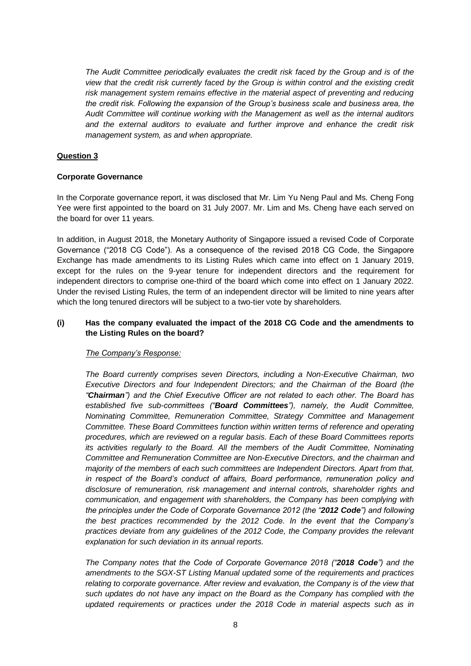*The Audit Committee periodically evaluates the credit risk faced by the Group and is of the view that the credit risk currently faced by the Group is within control and the existing credit risk management system remains effective in the material aspect of preventing and reducing the credit risk. Following the expansion of the Group's business scale and business area, the Audit Committee will continue working with the Management as well as the internal auditors and the external auditors to evaluate and further improve and enhance the credit risk management system, as and when appropriate.*

# **Question 3**

## **Corporate Governance**

In the Corporate governance report, it was disclosed that Mr. Lim Yu Neng Paul and Ms. Cheng Fong Yee were first appointed to the board on 31 July 2007. Mr. Lim and Ms. Cheng have each served on the board for over 11 years.

In addition, in August 2018, the Monetary Authority of Singapore issued a revised Code of Corporate Governance ("2018 CG Code"). As a consequence of the revised 2018 CG Code, the Singapore Exchange has made amendments to its Listing Rules which came into effect on 1 January 2019, except for the rules on the 9-year tenure for independent directors and the requirement for independent directors to comprise one-third of the board which come into effect on 1 January 2022. Under the revised Listing Rules, the term of an independent director will be limited to nine years after which the long tenured directors will be subject to a two-tier vote by shareholders.

#### **(i) Has the company evaluated the impact of the 2018 CG Code and the amendments to the Listing Rules on the board?**

#### *The Company's Response:*

*The Board currently comprises seven Directors, including a Non-Executive Chairman, two Executive Directors and four Independent Directors; and the Chairman of the Board (the "Chairman") and the Chief Executive Officer are not related to each other. The Board has established five sub-committees ("Board Committees"), namely, the Audit Committee, Nominating Committee, Remuneration Committee, Strategy Committee and Management Committee. These Board Committees function within written terms of reference and operating procedures, which are reviewed on a regular basis. Each of these Board Committees reports its activities regularly to the Board. All the members of the Audit Committee, Nominating Committee and Remuneration Committee are Non-Executive Directors, and the chairman and majority of the members of each such committees are Independent Directors. Apart from that, in respect of the Board's conduct of affairs, Board performance, remuneration policy and disclosure of remuneration, risk management and internal controls, shareholder rights and communication, and engagement with shareholders, the Company has been complying with the principles under the Code of Corporate Governance 2012 (the "2012 Code") and following the best practices recommended by the 2012 Code. In the event that the Company's practices deviate from any guidelines of the 2012 Code, the Company provides the relevant explanation for such deviation in its annual reports.*

*The Company notes that the Code of Corporate Governance 2018 ("2018 Code") and the amendments to the SGX-ST Listing Manual updated some of the requirements and practices relating to corporate governance. After review and evaluation, the Company is of the view that such updates do not have any impact on the Board as the Company has complied with the updated requirements or practices under the 2018 Code in material aspects such as in*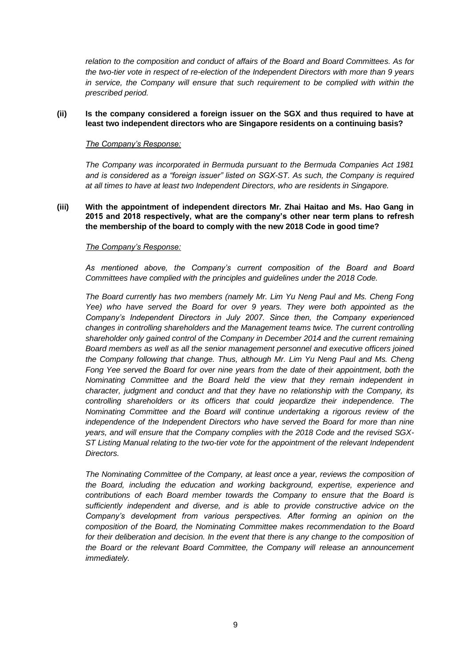*relation to the composition and conduct of affairs of the Board and Board Committees. As for the two-tier vote in respect of re-election of the Independent Directors with more than 9 years in service, the Company will ensure that such requirement to be complied with within the prescribed period.* 

#### **(ii) Is the company considered a foreign issuer on the SGX and thus required to have at least two independent directors who are Singapore residents on a continuing basis?**

#### *The Company's Response:*

*The Company was incorporated in Bermuda pursuant to the Bermuda Companies Act 1981 and is considered as a "foreign issuer" listed on SGX-ST. As such, the Company is required at all times to have at least two Independent Directors, who are residents in Singapore.*

**(iii) With the appointment of independent directors Mr. Zhai Haitao and Ms. Hao Gang in 2015 and 2018 respectively, what are the company's other near term plans to refresh the membership of the board to comply with the new 2018 Code in good time?**

#### *The Company's Response:*

*As mentioned above, the Company's current composition of the Board and Board Committees have complied with the principles and guidelines under the 2018 Code.*

*The Board currently has two members (namely Mr. Lim Yu Neng Paul and Ms. Cheng Fong Yee) who have served the Board for over 9 years. They were both appointed as the Company's Independent Directors in July 2007. Since then, the Company experienced changes in controlling shareholders and the Management teams twice. The current controlling shareholder only gained control of the Company in December 2014 and the current remaining Board members as well as all the senior management personnel and executive officers joined the Company following that change. Thus, although Mr. Lim Yu Neng Paul and Ms. Cheng Fong Yee served the Board for over nine years from the date of their appointment, both the Nominating Committee and the Board held the view that they remain independent in character, judgment and conduct and that they have no relationship with the Company, its controlling shareholders or its officers that could jeopardize their independence. The Nominating Committee and the Board will continue undertaking a rigorous review of the independence of the Independent Directors who have served the Board for more than nine years, and will ensure that the Company complies with the 2018 Code and the revised SGX-ST Listing Manual relating to the two-tier vote for the appointment of the relevant Independent Directors.*

*The Nominating Committee of the Company, at least once a year, reviews the composition of the Board, including the education and working background, expertise, experience and contributions of each Board member towards the Company to ensure that the Board is sufficiently independent and diverse, and is able to provide constructive advice on the Company's development from various perspectives. After forming an opinion on the composition of the Board, the Nominating Committee makes recommendation to the Board for their deliberation and decision. In the event that there is any change to the composition of the Board or the relevant Board Committee, the Company will release an announcement immediately.*